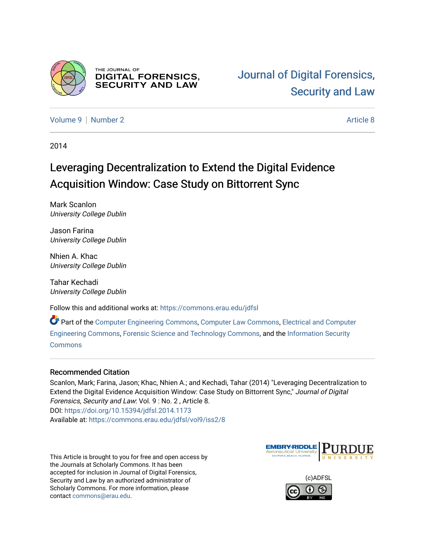

THE JOURNAL OF **DIGITAL FORENSICS, SECURITY AND LAW** 

[Volume 9](https://commons.erau.edu/jdfsl/vol9) | [Number 2](https://commons.erau.edu/jdfsl/vol9/iss2) Article 8

2014

# Leveraging Decentralization to Extend the Digital Evidence Acquisition Window: Case Study on Bittorrent Sync

Mark Scanlon University College Dublin

Jason Farina University College Dublin

Nhien A. Khac University College Dublin

Tahar Kechadi University College Dublin

Follow this and additional works at: [https://commons.erau.edu/jdfsl](https://commons.erau.edu/jdfsl?utm_source=commons.erau.edu%2Fjdfsl%2Fvol9%2Fiss2%2F8&utm_medium=PDF&utm_campaign=PDFCoverPages)

Part of the [Computer Engineering Commons,](http://network.bepress.com/hgg/discipline/258?utm_source=commons.erau.edu%2Fjdfsl%2Fvol9%2Fiss2%2F8&utm_medium=PDF&utm_campaign=PDFCoverPages) [Computer Law Commons,](http://network.bepress.com/hgg/discipline/837?utm_source=commons.erau.edu%2Fjdfsl%2Fvol9%2Fiss2%2F8&utm_medium=PDF&utm_campaign=PDFCoverPages) [Electrical and Computer](http://network.bepress.com/hgg/discipline/266?utm_source=commons.erau.edu%2Fjdfsl%2Fvol9%2Fiss2%2F8&utm_medium=PDF&utm_campaign=PDFCoverPages) [Engineering Commons,](http://network.bepress.com/hgg/discipline/266?utm_source=commons.erau.edu%2Fjdfsl%2Fvol9%2Fiss2%2F8&utm_medium=PDF&utm_campaign=PDFCoverPages) [Forensic Science and Technology Commons](http://network.bepress.com/hgg/discipline/1277?utm_source=commons.erau.edu%2Fjdfsl%2Fvol9%2Fiss2%2F8&utm_medium=PDF&utm_campaign=PDFCoverPages), and the [Information Security](http://network.bepress.com/hgg/discipline/1247?utm_source=commons.erau.edu%2Fjdfsl%2Fvol9%2Fiss2%2F8&utm_medium=PDF&utm_campaign=PDFCoverPages) [Commons](http://network.bepress.com/hgg/discipline/1247?utm_source=commons.erau.edu%2Fjdfsl%2Fvol9%2Fiss2%2F8&utm_medium=PDF&utm_campaign=PDFCoverPages)

#### Recommended Citation

Scanlon, Mark; Farina, Jason; Khac, Nhien A.; and Kechadi, Tahar (2014) "Leveraging Decentralization to Extend the Digital Evidence Acquisition Window: Case Study on Bittorrent Sync," Journal of Digital Forensics, Security and Law: Vol. 9 : No. 2 , Article 8. DOI:<https://doi.org/10.15394/jdfsl.2014.1173> Available at: [https://commons.erau.edu/jdfsl/vol9/iss2/8](https://commons.erau.edu/jdfsl/vol9/iss2/8?utm_source=commons.erau.edu%2Fjdfsl%2Fvol9%2Fiss2%2F8&utm_medium=PDF&utm_campaign=PDFCoverPages) 

This Article is brought to you for free and open access by the Journals at Scholarly Commons. It has been accepted for inclusion in Journal of Digital Forensics, Security and Law by an authorized administrator of Scholarly Commons. For more information, please contact [commons@erau.edu.](mailto:commons@erau.edu)



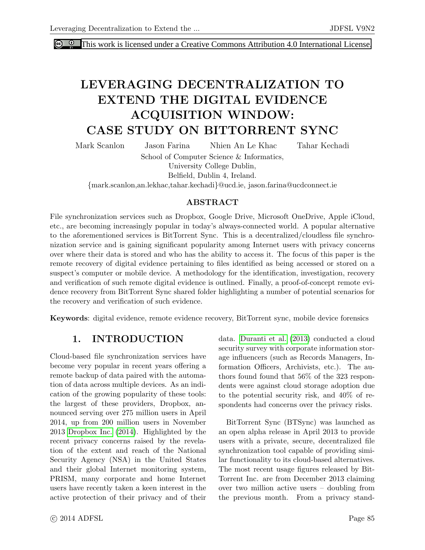**C C** [This work is licensed under a Creative Commons Attribution 4.0 International License.](http://creativecommons.org/licenses/by/4.0/)

# LEVERAGING DECENTRALIZATION TO EXTEND THE DIGITAL EVIDENCE ACQUISITION WINDOW: CASE STUDY ON BITTORRENT SYNC

Mark Scanlon Jason Farina Nhien An Le Khac Tahar Kechadi

School of Computer Science & Informatics,

University College Dublin,

Belfield, Dublin 4, Ireland.

{mark.scanlon,an.lekhac,tahar.kechadi}@ucd.ie, jason.farina@ucdconnect.ie

#### ABSTRACT

File synchronization services such as Dropbox, Google Drive, Microsoft OneDrive, Apple iCloud, etc., are becoming increasingly popular in today's always-connected world. A popular alternative to the aforementioned services is BitTorrent Sync. This is a decentralized/cloudless file synchronization service and is gaining significant popularity among Internet users with privacy concerns over where their data is stored and who has the ability to access it. The focus of this paper is the remote recovery of digital evidence pertaining to files identified as being accessed or stored on a suspect's computer or mobile device. A methodology for the identification, investigation, recovery and verification of such remote digital evidence is outlined. Finally, a proof-of-concept remote evidence recovery from BitTorrent Sync shared folder highlighting a number of potential scenarios for the recovery and verification of such evidence.

Keywords: digital evidence, remote evidence recovery, BitTorrent sync, mobile device forensics

# 1. INTRODUCTION

Cloud-based file synchronization services have become very popular in recent years offering a remote backup of data paired with the automation of data across multiple devices. As an indication of the growing popularity of these tools: the largest of these providers, Dropbox, announced serving over 275 million users in April 2014, up from 200 million users in November 2013 [Dropbox Inc.](#page-14-0) [\(2014\)](#page-14-0). Highlighted by the recent privacy concerns raised by the revelation of the extent and reach of the National Security Agency (NSA) in the United States and their global Internet monitoring system, PRISM, many corporate and home Internet users have recently taken a keen interest in the active protection of their privacy and of their data. [Duranti et al.](#page-14-1) [\(2013\)](#page-14-1) conducted a cloud security survey with corporate information storage influencers (such as Records Managers, Information Officers, Archivists, etc.). The authors found found that 56% of the 323 respondents were against cloud storage adoption due to the potential security risk, and 40% of respondents had concerns over the privacy risks.

BitTorrent Sync (BTSync) was launched as an open alpha release in April 2013 to provide users with a private, secure, decentralized file synchronization tool capable of providing similar functionality to its cloud-based alternatives. The most recent usage figures released by Bit-Torrent Inc. are from December 2013 claiming over two million active users – doubling from the previous month. From a privacy stand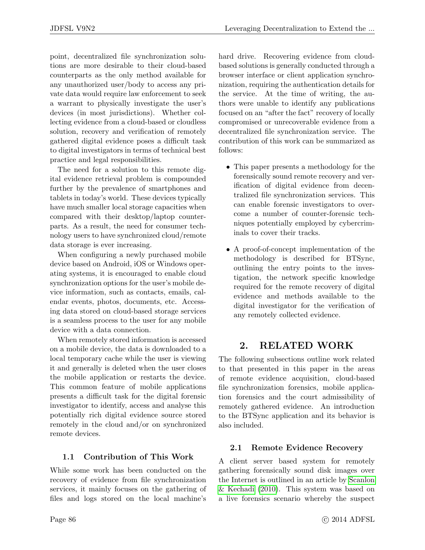point, decentralized file synchronization solutions are more desirable to their cloud-based counterparts as the only method available for any unauthorized user/body to access any private data would require law enforcement to seek a warrant to physically investigate the user's devices (in most jurisdictions). Whether collecting evidence from a cloud-based or cloudless solution, recovery and verification of remotely gathered digital evidence poses a difficult task to digital investigators in terms of technical best practice and legal responsibilities.

The need for a solution to this remote digital evidence retrieval problem is compounded further by the prevalence of smartphones and tablets in today's world. These devices typically have much smaller local storage capacities when compared with their desktop/laptop counterparts. As a result, the need for consumer technology users to have synchronized cloud/remote data storage is ever increasing.

When configuring a newly purchased mobile device based on Android, iOS or Windows operating systems, it is encouraged to enable cloud synchronization options for the user's mobile device information, such as contacts, emails, calendar events, photos, documents, etc. Accessing data stored on cloud-based storage services is a seamless process to the user for any mobile device with a data connection.

When remotely stored information is accessed on a mobile device, the data is downloaded to a local temporary cache while the user is viewing it and generally is deleted when the user closes the mobile application or restarts the device. This common feature of mobile applications presents a difficult task for the digital forensic investigator to identify, access and analyse this potentially rich digital evidence source stored remotely in the cloud and/or on synchronized remote devices.

## 1.1 Contribution of This Work

While some work has been conducted on the recovery of evidence from file synchronization services, it mainly focuses on the gathering of files and logs stored on the local machine's hard drive. Recovering evidence from cloudbased solutions is generally conducted through a browser interface or client application synchronization, requiring the authentication details for the service. At the time of writing, the authors were unable to identify any publications focused on an "after the fact" recovery of locally compromised or unrecoverable evidence from a decentralized file synchronization service. The contribution of this work can be summarized as follows:

- This paper presents a methodology for the forensically sound remote recovery and verification of digital evidence from decentralized file synchronization services. This can enable forensic investigators to overcome a number of counter-forensic techniques potentially employed by cybercriminals to cover their tracks.
- A proof-of-concept implementation of the methodology is described for BTSync, outlining the entry points to the investigation, the network specific knowledge required for the remote recovery of digital evidence and methods available to the digital investigator for the verification of any remotely collected evidence.

# 2. RELATED WORK

The following subsections outline work related to that presented in this paper in the areas of remote evidence acquisition, cloud-based file synchronization forensics, mobile application forensics and the court admissibility of remotely gathered evidence. An introduction to the BTSync application and its behavior is also included.

## 2.1 Remote Evidence Recovery

A client server based system for remotely gathering forensically sound disk images over the Internet is outlined in an article by [Scanlon](#page-15-0) [& Kechadi](#page-15-0) [\(2010\)](#page-15-0). This system was based on a live forensics scenario whereby the suspect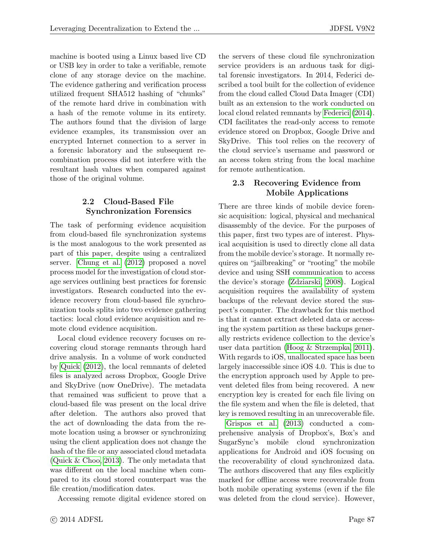machine is booted using a Linux based live CD or USB key in order to take a verifiable, remote clone of any storage device on the machine. The evidence gathering and verification process utilized frequent SHA512 hashing of "chunks" of the remote hard drive in combination with a hash of the remote volume in its entirety. The authors found that the division of large evidence examples, its transmission over an encrypted Internet connection to a server in a forensic laboratory and the subsequent recombination process did not interfere with the resultant hash values when compared against those of the original volume.

## 2.2 Cloud-Based File Synchronization Forensics

The task of performing evidence acquisition from cloud-based file synchronization systems is the most analogous to the work presented as part of this paper, despite using a centralized server. [Chung et al.](#page-14-2) [\(2012\)](#page-14-2) proposed a novel process model for the investigation of cloud storage services outlining best practices for forensic investigators. Research conducted into the evidence recovery from cloud-based file synchronization tools splits into two evidence gathering tactics: local cloud evidence acquisition and remote cloud evidence acquisition.

Local cloud evidence recovery focuses on recovering cloud storage remnants through hard drive analysis. In a volume of work conducted by [Quick](#page-14-3) [\(2012\)](#page-14-3), the local remnants of deleted files is analyzed across Dropbox, Google Drive and SkyDrive (now OneDrive). The metadata that remained was sufficient to prove that a cloud-based file was present on the local drive after deletion. The authors also proved that the act of downloading the data from the remote location using a browser or synchronizing using the client application does not change the hash of the file or any associated cloud metadata [\(Quick & Choo, 2013\)](#page-14-4). The only metadata that was different on the local machine when compared to its cloud stored counterpart was the file creation/modification dates.

Accessing remote digital evidence stored on

the servers of these cloud file synchronization service providers is an arduous task for digital forensic investigators. In 2014, Federici described a tool built for the collection of evidence from the cloud called Cloud Data Imager (CDI) built as an extension to the work conducted on local cloud related remnants by [Federici](#page-14-5) [\(2014\)](#page-14-5). CDI facilitates the read-only access to remote evidence stored on Dropbox, Google Drive and SkyDrive. This tool relies on the recovery of the cloud service's username and password or an access token string from the local machine for remote authentication.

## 2.3 Recovering Evidence from Mobile Applications

There are three kinds of mobile device forensic acquisition: logical, physical and mechanical disassembly of the device. For the purposes of this paper, first two types are of interest. Physical acquisition is used to directly clone all data from the mobile device's storage. It normally requires on "jailbreaking" or "rooting" the mobile device and using SSH communication to access the device's storage [\(Zdziarski, 2008\)](#page-15-1). Logical acquisition requires the availability of system backups of the relevant device stored the suspect's computer. The drawback for this method is that it cannot extract deleted data or accessing the system partition as these backups generally restricts evidence collection to the device's user data partition [\(Hoog & Strzempka, 2011\)](#page-14-6). With regards to iOS, unallocated space has been largely inaccessible since iOS 4.0. This is due to the encryption approach used by Apple to prevent deleted files from being recovered. A new encryption key is created for each file living on the file system and when the file is deleted, that key is removed resulting in an unrecoverable file.

[Grispos et al.](#page-14-7) [\(2013\)](#page-14-7) conducted a comprehensive analysis of Dropbox's, Box's and SugarSync's mobile cloud synchronization applications for Android and iOS focusing on the recoverability of cloud synchronized data. The authors discovered that any files explicitly marked for offline access were recoverable from both mobile operating systems (even if the file was deleted from the cloud service). However,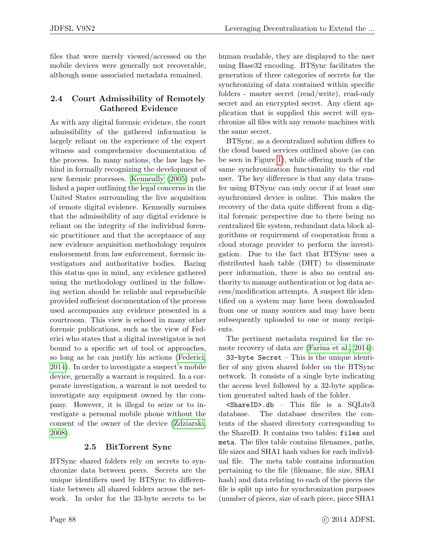files that were merely viewed/accessed on the mobile devices were generally not recoverable, although some associated metadata remained.

## 2.4 Court Admissibility of Remotely Gathered Evidence

As with any digital forensic evidence, the court admissibility of the gathered information is largely reliant on the experience of the expert witness and comprehensive documentation of the process. In many nations, the law lags behind in formally recognizing the development of new forensic processes. [Kenneally](#page-14-8) [\(2005\)](#page-14-8) published a paper outlining the legal concerns in the United States surrounding the live acquisition of remote digital evidence. Kenneally surmises that the admissibility of any digital evidence is reliant on the integrity of the individual forensic practitioner and that the acceptance of any new evidence acquisition methodology requires endorsement from law enforcement, forensic investigators and authoritative bodies. Baring this status quo in mind, any evidence gathered using the methodology outlined in the following section should be reliable and reproducible provided sufficient documentation of the process used accompanies any evidence presented in a courtroom. This view is echoed in many other forensic publications, such as the view of Federici who states that a digital investigator is not bound to a specific set of tool or approaches, so long as he can justify his actions [\(Federici,](#page-14-5) [2014\)](#page-14-5). In order to investigate a suspect's mobile device, generally a warrant is required. In a corporate investigation, a warrant is not needed to investigate any equipment owned by the company. However, it is illegal to seize or to investigate a personal mobile phone without the consent of the owner of the device [\(Zdziarski,](#page-15-1) [2008\)](#page-15-1).

## 2.5 BitTorrent Sync

BTSync shared folders rely on secrets to synchronize data between peers. Secrets are the unique identifiers used by BTSync to differentiate between all shared folders across the network. In order for the 33-byte secrets to be human readable, they are displayed to the user using Base32 encoding. BTSync facilitates the generation of three categories of secrets for the synchronizing of data contained within specific folders - master secret (read/write), read-only secret and an encrypted secret. Any client application that is supplied this secret will synchronize all files with any remote machines with the same secret.

BTSync, as a decentralized solution differs to the cloud based services outlined above (as can be seen in Figure [1\)](#page-5-0), while offering much of the same synchronization functionality to the end user. The key difference is that any data transfer using BTSync can only occur if at least one synchronized device is online. This makes the recovery of the data quite different from a digital forensic perspective due to there being no centralized file system, redundant data block algorithms or requirement of cooperation from a cloud storage provider to perform the investigation. Due to the fact that BTSync uses a distributed hash table (DHT) to disseminate peer information, there is also no central authority to manage authentication or log data access/modification attempts. A suspect file identified on a system may have been downloaded from one or many sources and may have been subsequently uploaded to one or many recipients.

The pertinent metadata required for the remote recovery of data are [\(Farina et al., 2014\)](#page-14-9):

33-byte  $Secret$  – This is the unique identifier of any given shared folder on the BTSync network. It consists of a single byte indicating the access level followed by a 32-byte application generated salted hash of the folder.

<ShareID>.db – This file is a SQLite3 database. The database describes the contents of the shared directory corresponding to the ShareID. It contains two tables; files and meta. The files table contains filenames, paths, file sizes and SHA1 hash values for each individual file. The meta table contains information pertaining to the file (filename, file size, SHA1 hash) and data relating to each of the pieces the file is split up into for synchronization purposes (number of pieces, size of each piece, piece SHA1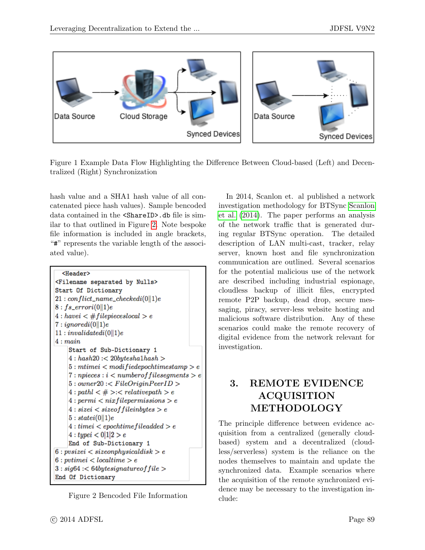<span id="page-5-0"></span>

Figure 1 Example Data Flow Highlighting the Difference Between Cloud-based (Left) and Decentralized (Right) Synchronization

hash value and a SHA1 hash value of all concatenated piece hash values). Sample bencoded data contained in the <ShareID>.db file is similar to that outlined in Figure [2.](#page-5-1) Note bespoke file information is included in angle brackets, "#" represents the variable length of the associated value).

```
<Header>
<Filename separated by Nulls>
Start Of Dictionary
21: conflict\_name\_checkedi(0||1)e8:fs\_error(0||1)e4: have i <#file pieceslocal > e7: ignoredi(0||1)e11: invalidatedi(0||1)e4: mainStart of Sub-Dictionary 1
    4: hash20:<20 bytesha1hash>5: mtimei \lt modifiedepochtimestamp > e7: n pieces: i < number of files segments > e5: owner20: < FileOriginPercentD>4 : path < \# > : < relativepath > e4:permi < nixfilepermissions > e4: size i < size of file in bytes > e5: statei(0||1)e4: time i < epoch time file added > e4: type i < 0|1|2 > eEnd of Sub-Dictionary 1
6:pusize i < sizeon physical disk > e6: pvtimei \lt localtime > e
3: sig64: < 64 bytesignature of file >End Of Dictionary
```
Figure 2 Bencoded File Information

In 2014, Scanlon et. al published a network investigation methodology for BTSync [Scanlon](#page-14-10) [et al.](#page-14-10) [\(2014\)](#page-14-10). The paper performs an analysis of the network traffic that is generated during regular BTSync operation. The detailed description of LAN multi-cast, tracker, relay server, known host and file synchronization communication are outlined. Several scenarios for the potential malicious use of the network are described including industrial espionage, cloudless backup of illicit files, encrypted remote P2P backup, dead drop, secure messaging, piracy, server-less website hosting and malicious software distribution. Any of these scenarios could make the remote recovery of digital evidence from the network relevant for investigation.

# 3. REMOTE EVIDENCE ACQUISITION METHODOLOGY

The principle difference between evidence acquisition from a centralized (generally cloudbased) system and a decentralized (cloudless/serverless) system is the reliance on the nodes themselves to maintain and update the synchronized data. Example scenarios where the acquisition of the remote synchronized evidence may be necessary to the investigation include: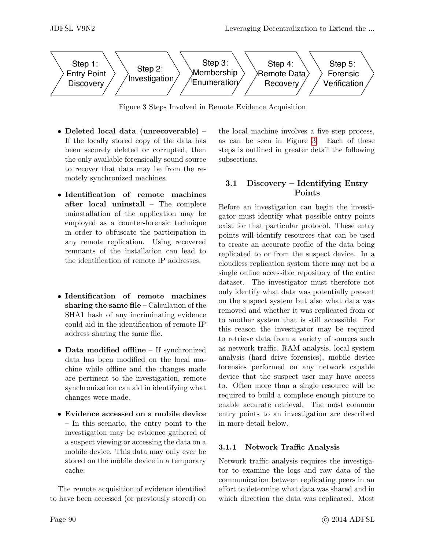<span id="page-6-0"></span>

Figure 3 Steps Involved in Remote Evidence Acquisition

- Deleted local data (unrecoverable) If the locally stored copy of the data has been securely deleted or corrupted, then the only available forensically sound source to recover that data may be from the remotely synchronized machines.
- Identification of remote machines after local uninstall – The complete uninstallation of the application may be employed as a counter-forensic technique in order to obfuscate the participation in any remote replication. Using recovered remnants of the installation can lead to the identification of remote IP addresses.
- Identification of remote machines sharing the same file – Calculation of the SHA1 hash of any incriminating evidence could aid in the identification of remote IP address sharing the same file.
- Data modified offline If synchronized data has been modified on the local machine while offline and the changes made are pertinent to the investigation, remote synchronization can aid in identifying what changes were made.
- Evidence accessed on a mobile device – In this scenario, the entry point to the investigation may be evidence gathered of a suspect viewing or accessing the data on a mobile device. This data may only ever be stored on the mobile device in a temporary cache.

The remote acquisition of evidence identified to have been accessed (or previously stored) on the local machine involves a five step process, as can be seen in Figure [3.](#page-6-0) Each of these steps is outlined in greater detail the following subsections.

## 3.1 Discovery – Identifying Entry Points

Before an investigation can begin the investigator must identify what possible entry points exist for that particular protocol. These entry points will identify resources that can be used to create an accurate profile of the data being replicated to or from the suspect device. In a cloudless replication system there may not be a single online accessible repository of the entire dataset. The investigator must therefore not only identify what data was potentially present on the suspect system but also what data was removed and whether it was replicated from or to another system that is still accessible. For this reason the investigator may be required to retrieve data from a variety of sources such as network traffic, RAM analysis, local system analysis (hard drive forensics), mobile device forensics performed on any network capable device that the suspect user may have access to. Often more than a single resource will be required to build a complete enough picture to enable accurate retrieval. The most common entry points to an investigation are described in more detail below.

## 3.1.1 Network Traffic Analysis

Network traffic analysis requires the investigator to examine the logs and raw data of the communication between replicating peers in an effort to determine what data was shared and in which direction the data was replicated. Most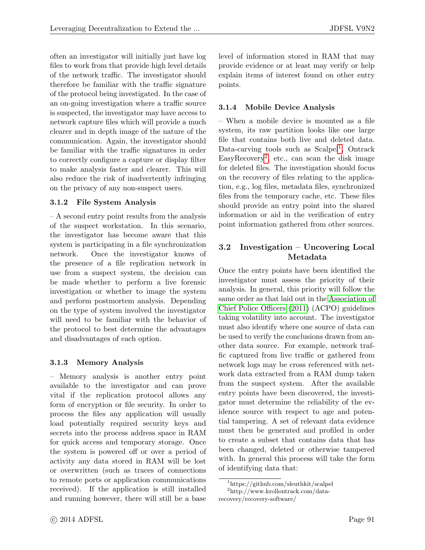often an investigator will initially just have log files to work from that provide high level details of the network traffic. The investigator should therefore be familiar with the traffic signature of the protocol being investigated. In the case of an on-going investigation where a traffic source is suspected, the investigator may have access to network capture files which will provide a much clearer and in depth image of the nature of the communication. Again, the investigator should be familiar with the traffic signatures in order to correctly configure a capture or display filter to make analysis faster and clearer. This will also reduce the risk of inadvertently infringing on the privacy of any non-suspect users.

#### 3.1.2 File System Analysis

– A second entry point results from the analysis of the suspect workstation. In this scenario, the investigator has become aware that this system is participating in a file synchronization network. Once the investigator knows of the presence of a file replication network in use from a suspect system, the decision can be made whether to perform a live forensic investigation or whether to image the system and perform postmortem analysis. Depending on the type of system involved the investigator will need to be familiar with the behavior of the protocol to best determine the advantages and disadvantages of each option.

#### 3.1.3 Memory Analysis

– Memory analysis is another entry point available to the investigator and can prove vital if the replication protocol allows any form of encryption or file security. In order to process the files any application will usually load potentially required security keys and secrets into the process address space in RAM for quick access and temporary storage. Once the system is powered off or over a period of activity any data stored in RAM will be lost or overwritten (such as traces of connections to remote ports or application communications received). If the application is still installed and running however, there will still be a base level of information stored in RAM that may provide evidence or at least may verify or help explain items of interest found on other entry points.

#### 3.1.4 Mobile Device Analysis

– When a mobile device is mounted as a file system, its raw partition looks like one large file that contains both live and deleted data. Data-carving tools such as  $Scalpel<sup>1</sup>$  $Scalpel<sup>1</sup>$  $Scalpel<sup>1</sup>$ , Ontrack  $Easy Recovery<sup>2</sup>$  $Easy Recovery<sup>2</sup>$  $Easy Recovery<sup>2</sup>$ , etc., can scan the disk image for deleted files. The investigation should focus on the recovery of files relating to the application, e.g., log files, metadata files, synchronized files from the temporary cache, etc. These files should provide an entry point into the shared information or aid in the verification of entry point information gathered from other sources.

## 3.2 Investigation – Uncovering Local Metadata

Once the entry points have been identified the investigator must assess the priority of their analysis. In general, this priority will follow the same order as that laid out in the [Association of](#page-14-11) [Chief Police Officers](#page-14-11) [\(2011\)](#page-14-11) (ACPO) guidelines taking volatility into account. The investigator must also identify where one source of data can be used to verify the conclusions drawn from another data source. For example, network traffic captured from live traffic or gathered from network logs may be cross referenced with network data extracted from a RAM dump taken from the suspect system. After the available entry points have been discovered, the investigator must determine the reliability of the evidence source with respect to age and potential tampering. A set of relevant data evidence must then be generated and profiled in order to create a subset that contains data that has been changed, deleted or otherwise tampered with. In general this process will take the form of identifying data that:

<span id="page-7-1"></span><span id="page-7-0"></span><sup>1</sup>https://github.com/sleuthkit/scalpel

<sup>2</sup>http://www.krollontrack.com/data-

recovery/recovery-software/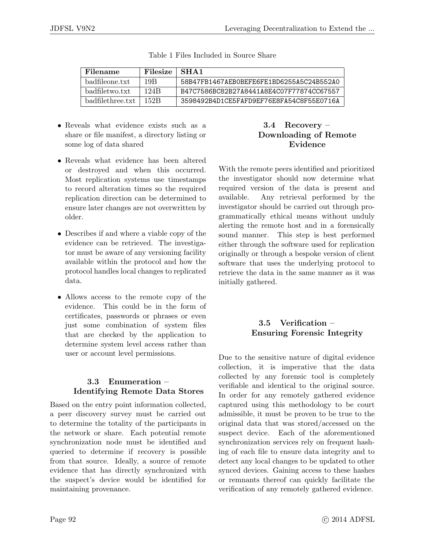<span id="page-8-0"></span>

| Filename         | Filesize | SHA <sub>1</sub>                         |
|------------------|----------|------------------------------------------|
| badfileone.txt   | 19B      | 58B47FB1467AEB0BEFF6FE1BD6255A5C24B552A0 |
| badfiletwo.txt   | 124B     | B47C7586BC82B27A8441A8E4C07F77874CC67557 |
| badfilethree.txt | 152R     | 3598492B4D1CE5FAFD9EF76E8FA54C8F55E0716A |

Table 1 Files Included in Source Share

- Reveals what evidence exists such as a share or file manifest, a directory listing or some log of data shared
- Reveals what evidence has been altered or destroyed and when this occurred. Most replication systems use timestamps to record alteration times so the required replication direction can be determined to ensure later changes are not overwritten by older.
- Describes if and where a viable copy of the evidence can be retrieved. The investigator must be aware of any versioning facility available within the protocol and how the protocol handles local changes to replicated data.
- Allows access to the remote copy of the evidence. This could be in the form of certificates, passwords or phrases or even just some combination of system files that are checked by the application to determine system level access rather than user or account level permissions.

## 3.3 Enumeration – Identifying Remote Data Stores

Based on the entry point information collected, a peer discovery survey must be carried out to determine the totality of the participants in the network or share. Each potential remote synchronization node must be identified and queried to determine if recovery is possible from that source. Ideally, a source of remote evidence that has directly synchronized with the suspect's device would be identified for maintaining provenance.

## 3.4 Recovery – Downloading of Remote Evidence

With the remote peers identified and prioritized the investigator should now determine what required version of the data is present and available. Any retrieval performed by the investigator should be carried out through programmatically ethical means without unduly alerting the remote host and in a forensically sound manner. This step is best performed either through the software used for replication originally or through a bespoke version of client software that uses the underlying protocol to retrieve the data in the same manner as it was initially gathered.

## 3.5 Verification – Ensuring Forensic Integrity

Due to the sensitive nature of digital evidence collection, it is imperative that the data collected by any forensic tool is completely verifiable and identical to the original source. In order for any remotely gathered evidence captured using this methodology to be court admissible, it must be proven to be true to the original data that was stored/accessed on the suspect device. Each of the aforementioned synchronization services rely on frequent hashing of each file to ensure data integrity and to detect any local changes to be updated to other synced devices. Gaining access to these hashes or remnants thereof can quickly facilitate the verification of any remotely gathered evidence.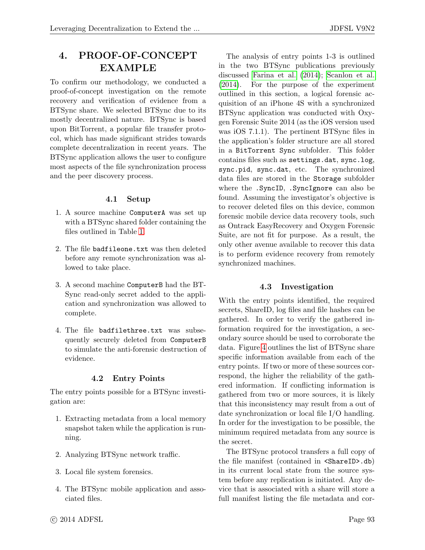# 4. PROOF-OF-CONCEPT EXAMPLE

To confirm our methodology, we conducted a proof-of-concept investigation on the remote recovery and verification of evidence from a BTSync share. We selected BTSync due to its mostly decentralized nature. BTSync is based upon BitTorrent, a popular file transfer protocol, which has made significant strides towards complete decentralization in recent years. The BTSync application allows the user to configure most aspects of the file synchronization process and the peer discovery process.

#### 4.1 Setup

- 1. A source machine ComputerA was set up with a BTSync shared folder containing the files outlined in Table [1.](#page-8-0)
- 2. The file badfileone.txt was then deleted before any remote synchronization was allowed to take place.
- 3. A second machine ComputerB had the BT-Sync read-only secret added to the application and synchronization was allowed to complete.
- 4. The file badfilethree.txt was subsequently securely deleted from ComputerB to simulate the anti-forensic destruction of evidence.

#### 4.2 Entry Points

The entry points possible for a BTSync investigation are:

- 1. Extracting metadata from a local memory snapshot taken while the application is running.
- 2. Analyzing BTSync network traffic.
- 3. Local file system forensics.
- 4. The BTSync mobile application and associated files.

The analysis of entry points 1-3 is outlined in the two BTSync publications previously discussed [Farina et al.](#page-14-9) [\(2014\)](#page-14-9); [Scanlon et al.](#page-14-10) [\(2014\)](#page-14-10). For the purpose of the experiment outlined in this section, a logical forensic acquisition of an iPhone 4S with a synchronized BTSync application was conducted with Oxygen Forensic Suite 2014 (as the iOS version used was iOS 7.1.1). The pertinent BTSync files in the application's folder structure are all stored in a BitTorrent Sync subfolder. This folder contains files such as settings.dat, sync.log, sync.pid, sync.dat, etc. The synchronized data files are stored in the Storage subfolder where the .SyncID, .SyncIgnore can also be found. Assuming the investigator's objective is to recover deleted files on this device, common forensic mobile device data recovery tools, such as Ontrack EasyRecovery and Oxygen Forensic Suite, are not fit for purpose. As a result, the only other avenue available to recover this data is to perform evidence recovery from remotely synchronized machines.

#### 4.3 Investigation

With the entry points identified, the required secrets, ShareID, log files and file hashes can be gathered. In order to verify the gathered information required for the investigation, a secondary source should be used to corroborate the data. Figure [4](#page-10-0) outlines the list of BTSync share specific information available from each of the entry points. If two or more of these sources correspond, the higher the reliability of the gathered information. If conflicting information is gathered from two or more sources, it is likely that this inconsistency may result from a out of date synchronization or local file I/O handling. In order for the investigation to be possible, the minimum required metadata from any source is the secret.

The BTSync protocol transfers a full copy of the file manifest (contained in <ShareID>.db) in its current local state from the source system before any replication is initiated. Any device that is associated with a share will store a full manifest listing the file metadata and cor-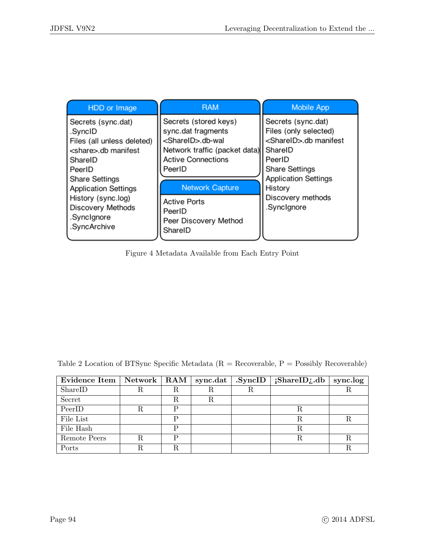<span id="page-10-0"></span>

| HDD or Image                                                                                                                                                                | <b>RAM</b>                                                                                                                                                                      | <b>Mobile App</b>                                                                                                                                                             |
|-----------------------------------------------------------------------------------------------------------------------------------------------------------------------------|---------------------------------------------------------------------------------------------------------------------------------------------------------------------------------|-------------------------------------------------------------------------------------------------------------------------------------------------------------------------------|
| Secrets (sync.dat)<br>.SyncID<br>Files (all unless deleted)<br><share>.db manifest<br/>SharelD<br/>PeerID<br/><b>Share Settings</b><br/><b>Application Settings</b></share> | Secrets (stored keys)<br>sync.dat fragments<br><shareid>.db-wal<br/>Network traffic (packet data)<br/><b>Active Connections</b><br/>PeerID<br/><b>Network Capture</b></shareid> | Secrets (sync.dat)<br>Files (only selected)<br><shareid>.db manifest<br/>l ShareID<br/>PeerID<br/><b>Share Settings</b><br/><b>Application Settings</b><br/>History</shareid> |
| History (sync.log)<br><b>Discovery Methods</b><br>.SyncIgnore<br>.SyncArchive                                                                                               | <b>Active Ports</b><br>PeerID<br>Peer Discovery Method<br>ShareID                                                                                                               | Discovery methods<br>.SyncIgnore                                                                                                                                              |

Figure 4 Metadata Available from Each Entry Point

| Evidence Item   Network   RAM |   | sync.dat | .SyncID | iShareID; db | sync.log $\vert$ |
|-------------------------------|---|----------|---------|--------------|------------------|
| ShareID                       | R |          | R       |              |                  |
| Secret                        | R |          |         |              |                  |
| PeerID                        | D |          |         |              |                  |
| File List                     | D |          |         | R            |                  |
| File Hash                     | D |          |         | R            |                  |
| Remote Peers                  | D |          |         | R            |                  |
| Ports                         |   |          |         |              |                  |

<span id="page-10-1"></span>Table 2 Location of BTSync Specific Metadata ( $R =$  Recoverable,  $P =$  Possibly Recoverable)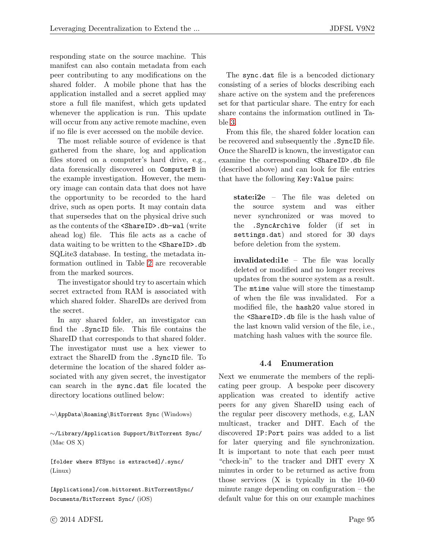responding state on the source machine. This manifest can also contain metadata from each peer contributing to any modifications on the shared folder. A mobile phone that has the application installed and a secret applied may store a full file manifest, which gets updated whenever the application is run. This update will occur from any active remote machine, even if no file is ever accessed on the mobile device.

The most reliable source of evidence is that gathered from the share, log and application files stored on a computer's hard drive, e.g., data forensically discovered on ComputerB in the example investigation. However, the memory image can contain data that does not have the opportunity to be recorded to the hard drive, such as open ports. It may contain data that supersedes that on the physical drive such as the contents of the <ShareID>.db-wal (write ahead log) file. This file acts as a cache of data waiting to be written to the <ShareID>.db SQLite3 database. In testing, the metadata information outlined in Table [2](#page-10-1) are recoverable from the marked sources.

The investigator should try to ascertain which secret extracted from RAM is associated with which shared folder. ShareIDs are derived from the secret.

In any shared folder, an investigator can find the .SyncID file. This file contains the ShareID that corresponds to that shared folder. The investigator must use a hex viewer to extract the ShareID from the .SyncID file. To determine the location of the shared folder associated with any given secret, the investigator can search in the sync.dat file located the directory locations outlined below:

∼\AppData\Roaming\BitTorrent Sync (Windows)

∼/Library/Application Support/BitTorrent Sync/ (Mac OS X)

[folder where BTSync is extracted]/.sync/ (Linux)

[Applications]/com.bittorent.BitTorrentSync/ Documents/BitTorrent Sync/ (iOS)

The sync.dat file is a bencoded dictionary consisting of a series of blocks describing each share active on the system and the preferences set for that particular share. The entry for each share contains the information outlined in Table [3.](#page-12-0)

From this file, the shared folder location can be recovered and subsequently the .SyncID file. Once the ShareID is known, the investigator can examine the corresponding <ShareID>.db file (described above) and can look for file entries that have the following Key:Value pairs:

state:i2e – The file was deleted on the source system and was either never synchronized or was moved to the .SyncArchive folder (if set in settings.dat) and stored for 30 days before deletion from the system.

invalidated:i1e – The file was locally deleted or modified and no longer receives updates from the source system as a result. The mtime value will store the timestamp of when the file was invalidated. For a modified file, the hash20 value stored in the <ShareID>.db file is the hash value of the last known valid version of the file, i.e., matching hash values with the source file.

#### 4.4 Enumeration

Next we enumerate the members of the replicating peer group. A bespoke peer discovery application was created to identify active peers for any given ShareID using each of the regular peer discovery methods, e.g, LAN multicast, tracker and DHT. Each of the discovered IP:Port pairs was added to a list for later querying and file synchronization. It is important to note that each peer must "check-in" to the tracker and DHT every X minutes in order to be returned as active from those services (X is typically in the 10-60 minute range depending on configuration – the default value for this on our example machines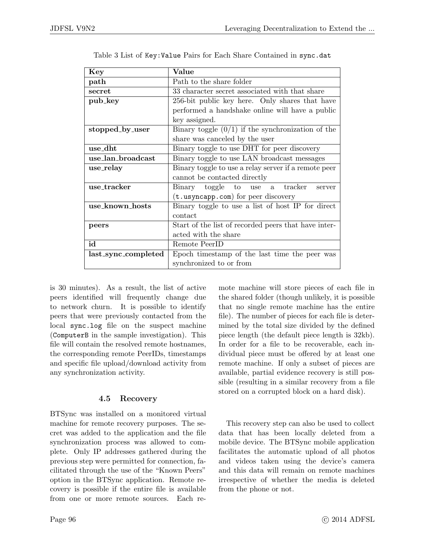<span id="page-12-0"></span>

| Key                 | Value                                                |  |  |
|---------------------|------------------------------------------------------|--|--|
| path                | Path to the share folder                             |  |  |
| secret              | 33 character secret associated with that share       |  |  |
| pub_key             | 256-bit public key here. Only shares that have       |  |  |
|                     | performed a handshake online will have a public      |  |  |
|                     | key assigned.                                        |  |  |
| stopped_by_user     | Binary toggle $(0/1)$ if the synchronization of the  |  |  |
|                     | share was canceled by the user                       |  |  |
| use_dht             | Binary toggle to use DHT for peer discovery          |  |  |
| use_lan_broadcast   | Binary toggle to use LAN broadcast messages          |  |  |
| use_relay           | Binary toggle to use a relay server if a remote peer |  |  |
|                     | cannot be contacted directly                         |  |  |
| use_tracker         | Binary toggle to use a tracker<br>server             |  |  |
|                     | $(t.usyncapp.com)$ for peer discovery                |  |  |
| use_known_hosts     | Binary toggle to use a list of host IP for direct    |  |  |
|                     | contact                                              |  |  |
| peers               | Start of the list of recorded peers that have inter- |  |  |
|                     | acted with the share                                 |  |  |
| id                  | Remote PeerID                                        |  |  |
| last_sync_completed | Epoch timestamp of the last time the peer was        |  |  |
|                     | synchronized to or from                              |  |  |

Table 3 List of Key:Value Pairs for Each Share Contained in sync.dat

is 30 minutes). As a result, the list of active peers identified will frequently change due to network churn. It is possible to identify peers that were previously contacted from the local sync.log file on the suspect machine (ComputerB in the sample investigation). This file will contain the resolved remote hostnames, the corresponding remote PeerIDs, timestamps and specific file upload/download activity from any synchronization activity.

## 4.5 Recovery

BTSync was installed on a monitored virtual machine for remote recovery purposes. The secret was added to the application and the file synchronization process was allowed to complete. Only IP addresses gathered during the previous step were permitted for connection, facilitated through the use of the "Known Peers" option in the BTSync application. Remote recovery is possible if the entire file is available from one or more remote sources. Each remote machine will store pieces of each file in the shared folder (though unlikely, it is possible that no single remote machine has the entire file). The number of pieces for each file is determined by the total size divided by the defined piece length (the default piece length is 32kb). In order for a file to be recoverable, each individual piece must be offered by at least one remote machine. If only a subset of pieces are available, partial evidence recovery is still possible (resulting in a similar recovery from a file stored on a corrupted block on a hard disk).

This recovery step can also be used to collect data that has been locally deleted from a mobile device. The BTSync mobile application facilitates the automatic upload of all photos and videos taken using the device's camera and this data will remain on remote machines irrespective of whether the media is deleted from the phone or not.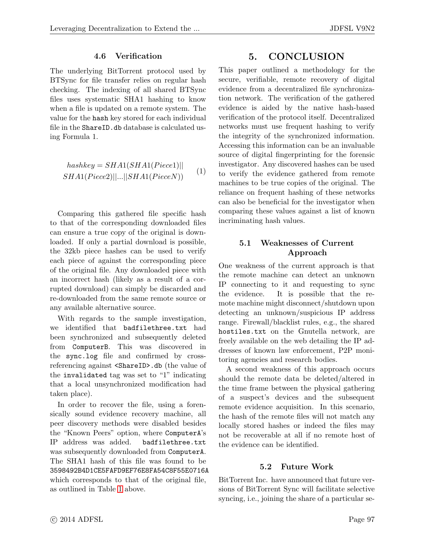#### 4.6 Verification

The underlying BitTorrent protocol used by BTSync for file transfer relies on regular hash checking. The indexing of all shared BTSync files uses systematic SHA1 hashing to know when a file is updated on a remote system. The value for the hash key stored for each individual file in the ShareID.db database is calculated using Formula 1.

$$
hashkey = SHA(SHA1(Piece1)||
$$
  

$$
SHA1(Piece2)||...||SHA1(PieceN))
$$
 (1)

Comparing this gathered file specific hash to that of the corresponding downloaded files can ensure a true copy of the original is downloaded. If only a partial download is possible, the 32kb piece hashes can be used to verify each piece of against the corresponding piece of the original file. Any downloaded piece with an incorrect hash (likely as a result of a corrupted download) can simply be discarded and re-downloaded from the same remote source or any available alternative source.

With regards to the sample investigation, we identified that badfilethree.txt had been synchronized and subsequently deleted from ComputerB. This was discovered in the sync.log file and confirmed by crossreferencing against <ShareID>.db (the value of the invalidated tag was set to "1" indicating that a local unsynchronized modification had taken place).

In order to recover the file, using a forensically sound evidence recovery machine, all peer discovery methods were disabled besides the "Known Peers" option, where ComputerA's IP address was added. badfilethree.txt was subsequently downloaded from ComputerA. The SHA1 hash of this file was found to be 3598492B4D1CE5FAFD9EF76E8FA54C8F55E0716A which corresponds to that of the original file, as outlined in Table [1](#page-8-0) above.

## 5. CONCLUSION

This paper outlined a methodology for the secure, verifiable, remote recovery of digital evidence from a decentralized file synchronization network. The verification of the gathered evidence is aided by the native hash-based verification of the protocol itself. Decentralized networks must use frequent hashing to verify the integrity of the synchronized information. Accessing this information can be an invaluable source of digital fingerprinting for the forensic investigator. Any discovered hashes can be used to verify the evidence gathered from remote machines to be true copies of the original. The reliance on frequent hashing of these networks can also be beneficial for the investigator when comparing these values against a list of known incriminating hash values.

#### 5.1 Weaknesses of Current Approach

One weakness of the current approach is that the remote machine can detect an unknown IP connecting to it and requesting to sync the evidence. It is possible that the remote machine might disconnect/shutdown upon detecting an unknown/suspicious IP address range. Firewall/blacklist rules, e.g., the shared hostiles.txt on the Gnutella network, are freely available on the web detailing the IP addresses of known law enforcement, P2P monitoring agencies and research bodies.

A second weakness of this approach occurs should the remote data be deleted/altered in the time frame between the physical gathering of a suspect's devices and the subsequent remote evidence acquisition. In this scenario, the hash of the remote files will not match any locally stored hashes or indeed the files may not be recoverable at all if no remote host of the evidence can be identified.

#### 5.2 Future Work

BitTorrent Inc. have announced that future versions of BitTorrent Sync will facilitate selective syncing, i.e., joining the share of a particular se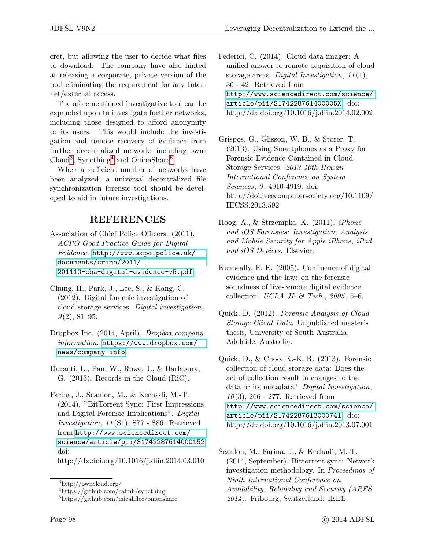cret, but allowing the user to decide what files to download. The company have also hinted at releasing a corporate, private version of the tool eliminating the requirement for any Internet/external access.

The aforementioned investigative tool can be expanded upon to investigate further networks, including those designed to afford anonymity to its users. This would include the investigation and remote recovery of evidence from further decentralized networks including own-Cloud<sup>[3](#page-14-12)</sup>, Syncthing<sup>[4](#page-14-13)</sup> and OnionShare<sup>[5](#page-14-14)</sup>.

When a sufficient number of networks have been analyzed, a universal decentralized file synchronization forensic tool should be developed to aid in future investigations.

# REFERENCES

- <span id="page-14-11"></span>Association of Chief Police Officers. (2011). ACPO Good Practice Guide for Digital Evidence. [http://www.acpo.police.uk/](http://www.acpo.police.uk/documents/crime/2011/201110-cba-digital-evidence-v5.pdf) [documents/crime/2011/](http://www.acpo.police.uk/documents/crime/2011/201110-cba-digital-evidence-v5.pdf) [201110-cba-digital-evidence-v5.pdf](http://www.acpo.police.uk/documents/crime/2011/201110-cba-digital-evidence-v5.pdf).
- <span id="page-14-2"></span>Chung, H., Park, J., Lee, S., & Kang, C. (2012). Digital forensic investigation of cloud storage services. Digital investigation,  $9(2), 81-95.$
- <span id="page-14-0"></span>Dropbox Inc. (2014, April). Dropbox company information. [https://www.dropbox.com/](https://www.dropbox.com/news/company-info) [news/company-info](https://www.dropbox.com/news/company-info).

<span id="page-14-1"></span>Duranti, L., Pan, W., Rowe, J., & Barlaoura, G. (2013). Records in the Cloud (RiC).

<span id="page-14-9"></span>Farina, J., Scanlon, M., & Kechadi, M.-T. (2014). "BitTorrent Sync: First Impressions and Digital Forensic Implications". Digital Investigation, 11 (S1), S77 - S86. Retrieved from [http://www.sciencedirect.com/](http://www.sciencedirect.com/science/article/pii/S1742287614000152) [science/article/pii/S1742287614000152](http://www.sciencedirect.com/science/article/pii/S1742287614000152) doi:

http://dx.doi.org/10.1016/j.diin.2014.03.010

<span id="page-14-5"></span>Federici, C. (2014). Cloud data imager: A unified answer to remote acquisition of cloud storage areas. Digital Investigation,  $11(1)$ , 30 - 42. Retrieved from [http://www.sciencedirect.com/science/](http://www.sciencedirect.com/science/article/pii/S174228761400005X) [article/pii/S174228761400005X](http://www.sciencedirect.com/science/article/pii/S174228761400005X) doi: http://dx.doi.org/10.1016/j.diin.2014.02.002

<span id="page-14-7"></span>Grispos, G., Glisson, W. B., & Storer, T. (2013). Using Smartphones as a Proxy for Forensic Evidence Contained in Cloud Storage Services. 2013 46th Hawaii International Conference on System Sciences,  $0, 4910 - 4919$ . doi: http://doi.ieeecomputersociety.org/10.1109/ HICSS.2013.592

<span id="page-14-6"></span>Hoog, A., & Strzempka, K. (2011). iPhone and iOS Forensics: Investigation, Analysis and Mobile Security for Apple iPhone, iPad and iOS Devices. Elsevier.

<span id="page-14-8"></span>Kenneally, E. E. (2005). Confluence of digital evidence and the law: on the forensic soundness of live-remote digital evidence collection. UCLA JL & Tech.,  $2005, 5-6$ .

<span id="page-14-3"></span>Quick, D. (2012). Forensic Analysis of Cloud Storage Client Data. Unpublished master's thesis, University of South Australia, Adelaide, Australia.

<span id="page-14-4"></span>Quick, D., & Choo, K.-K. R. (2013). Forensic collection of cloud storage data: Does the act of collection result in changes to the data or its metadata? Digital Investigation,  $10(3)$ , 266 - 277. Retrieved from [http://www.sciencedirect.com/science/](http://www.sciencedirect.com/science/article/pii/S1742287613000741) [article/pii/S1742287613000741](http://www.sciencedirect.com/science/article/pii/S1742287613000741) doi: http://dx.doi.org/10.1016/j.diin.2013.07.001

<span id="page-14-12"></span><sup>3</sup>http://owncloud.org/

<span id="page-14-13"></span> $^4{\rm https://github.com/calmh/syncthing}$ 

<span id="page-14-14"></span><sup>5</sup>https://github.com/micahflee/onionshare

<span id="page-14-10"></span>Scanlon, M., Farina, J., & Kechadi, M.-T. (2014, September). Bittorrent sync: Network investigation methodology. In Proceedings of Ninth International Conference on Availability, Reliability and Security (ARES 2014). Fribourg, Switzerland: IEEE.